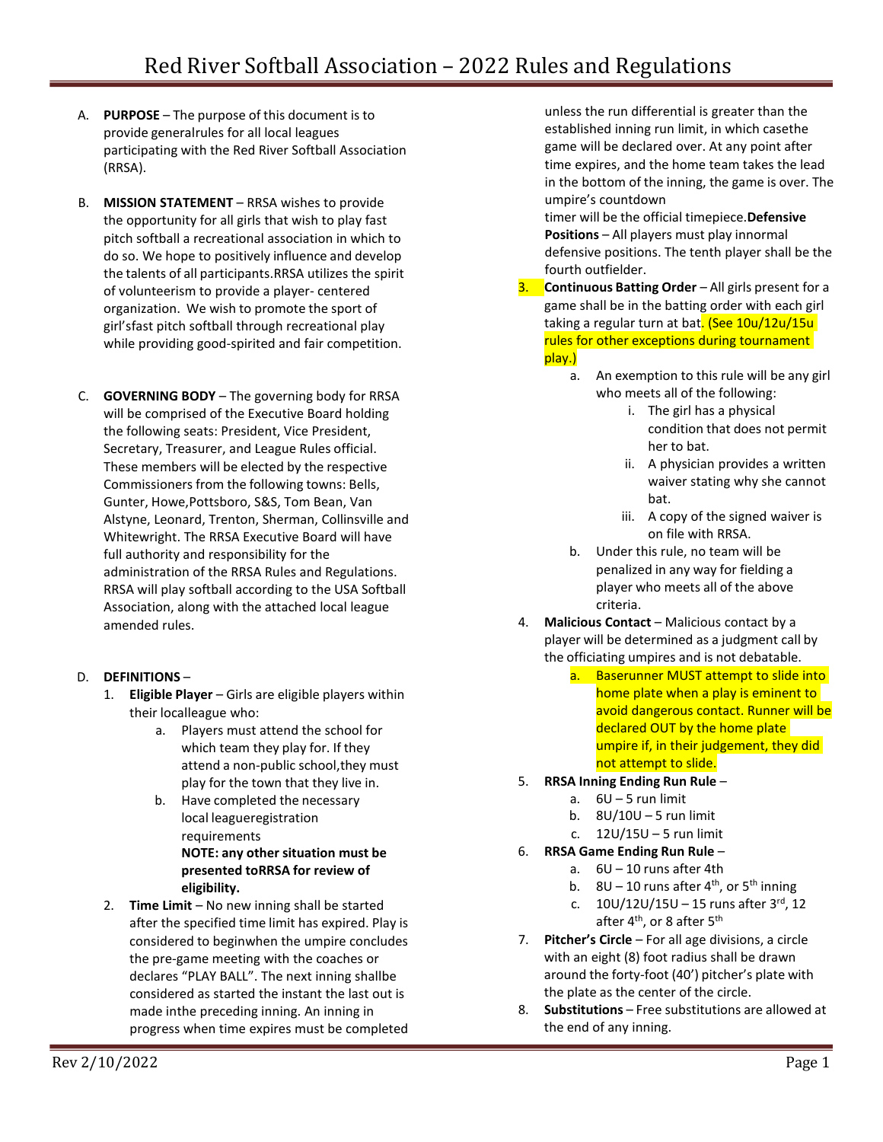- A. **PURPOSE** The purpose of this document is to provide generalrules for all local leagues participating with the Red River Softball Association (RRSA).
- B. **MISSION STATEMENT** RRSA wishes to provide the opportunity for all girls that wish to play fast pitch softball a recreational association in which to do so. We hope to positively influence and develop the talents of all participants.RRSA utilizes the spirit of volunteerism to provide a player- centered organization. We wish to promote the sport of girl'sfast pitch softball through recreational play while providing good-spirited and fair competition.
- C. **GOVERNING BODY**  The governing body for RRSA will be comprised of the Executive Board holding the following seats: President, Vice President, Secretary, Treasurer, and League Rules official. These members will be elected by the respective Commissioners from the following towns: Bells, Gunter, Howe,Pottsboro, S&S, Tom Bean, Van Alstyne, Leonard, Trenton, Sherman, Collinsville and Whitewright. The RRSA Executive Board will have full authority and responsibility for the administration of the RRSA Rules and Regulations. RRSA will play softball according to the USA Softball Association, along with the attached local league amended rules.

# D. **DEFINITIONS** –

- 1. **Eligible Player** Girls are eligible players within their localleague who:
	- a. Players must attend the school for which team they play for. If they attend a non-public school,they must play for the town that they live in.
	- b. Have completed the necessary local leagueregistration requirements **NOTE: any other situation must be presented toRRSA for review of**

**eligibility.**

2. **Time Limit** – No new inning shall be started after the specified time limit has expired. Play is considered to beginwhen the umpire concludes the pre-game meeting with the coaches or declares "PLAY BALL". The next inning shallbe considered as started the instant the last out is made inthe preceding inning. An inning in progress when time expires must be completed unless the run differential is greater than the established inning run limit, in which casethe game will be declared over. At any point after time expires, and the home team takes the lead in the bottom of the inning, the game is over. The umpire's countdown

timer will be the official timepiece.**Defensive Positions** – All players must play innormal defensive positions. The tenth player shall be the fourth outfielder.

- 3. **Continuous Batting Order** All girls present for a game shall be in the batting order with each girl taking a regular turn at bat. (See 10u/12u/15u rules for other exceptions during tournament play.)
	- a. An exemption to this rule will be any girl who meets all of the following:
		- i. The girl has a physical condition that does not permit her to bat.
		- ii. A physician provides a written waiver stating why she cannot bat.
		- iii. A copy of the signed waiver is on file with RRSA.
	- b. Under this rule, no team will be penalized in any way for fielding a player who meets all of the above criteria.
- 4. **Malicious Contact** Malicious contact by a player will be determined as a judgment call by the officiating umpires and is not debatable.
	- a. Baserunner MUST attempt to slide into home plate when a play is eminent to avoid dangerous contact. Runner will be declared OUT by the home plate umpire if, in their judgement, they did not attempt to slide.
- 5. **RRSA Inning Ending Run Rule**
	- a. 6U 5 run limit
	- b. 8U/10U 5 run limit
	- c. 12U/15U 5 run limit
- 6. **RRSA Game Ending Run Rule**
	- a. 6U 10 runs after 4th
	- b.  $8U 10$  runs after 4<sup>th</sup>, or 5<sup>th</sup> inning
	- c.  $10U/12U/15U 15$  runs after  $3^{rd}$ , 12 after 4<sup>th</sup>, or 8 after 5<sup>th</sup>
- 7. **Pitcher's Circle**  For all age divisions, a circle with an eight (8) foot radius shall be drawn around the forty-foot (40') pitcher's plate with the plate as the center of the circle.
- 8. **Substitutions** Free substitutions are allowed at the end of any inning.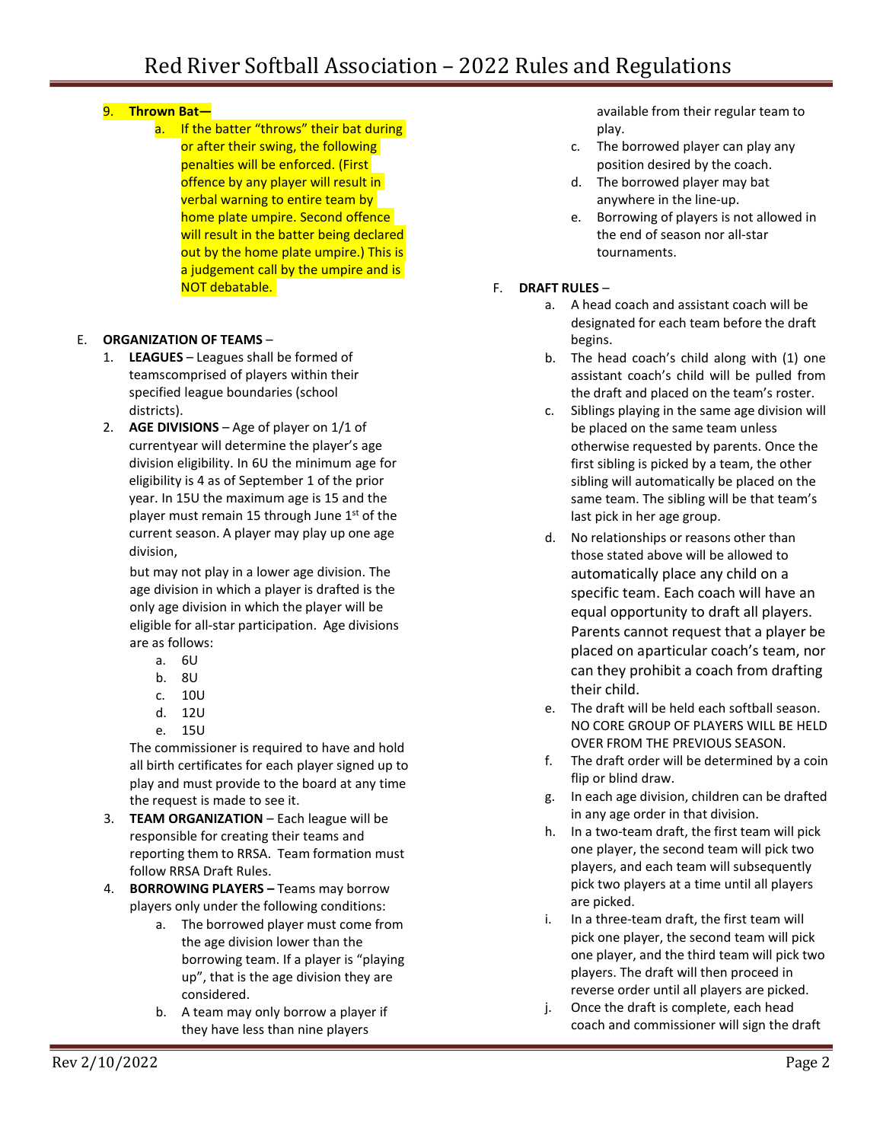# 9. **Thrown Bat—**

a. If the batter "throws" their bat during or after their swing, the following penalties will be enforced. (First offence by any player will result in verbal warning to entire team by home plate umpire. Second offence will result in the batter being declared out by the home plate umpire.) This is a judgement call by the umpire and is NOT debatable.

## E. **ORGANIZATION OF TEAMS** –

- 1. **LEAGUES** Leagues shall be formed of teamscomprised of players within their specified league boundaries (school districts).
- 2. **AGE DIVISIONS** Age of player on 1/1 of currentyear will determine the player's age division eligibility. In 6U the minimum age for eligibility is 4 as of September 1 of the prior year. In 15U the maximum age is 15 and the player must remain 15 through June 1<sup>st</sup> of the current season. A player may play up one age division,

but may not play in a lower age division. The age division in which a player is drafted is the only age division in which the player will be eligible for all-star participation. Age divisions are as follows:

- a. 6U
- b. 8U
- c. 10U
- d. 12U
- e. 15U

The commissioner is required to have and hold all birth certificates for each player signed up to play and must provide to the board at any time the request is made to see it.

- 3. **TEAM ORGANIZATION**  Each league will be responsible for creating their teams and reporting them to RRSA. Team formation must follow RRSA Draft Rules.
- 4. **BORROWING PLAYERS –** Teams may borrow players only under the following conditions:
	- a. The borrowed player must come from the age division lower than the borrowing team. If a player is "playing up", that is the age division they are considered.
	- b. A team may only borrow a player if they have less than nine players

available from their regular team to play.

- c. The borrowed player can play any position desired by the coach.
- d. The borrowed player may bat anywhere in the line-up.
- e. Borrowing of players is not allowed in the end of season nor all-star tournaments.
- F. **DRAFT RULES**
	- a. A head coach and assistant coach will be designated for each team before the draft begins.
	- b. The head coach's child along with (1) one assistant coach's child will be pulled from the draft and placed on the team's roster.
	- c. Siblings playing in the same age division will be placed on the same team unless otherwise requested by parents. Once the first sibling is picked by a team, the other sibling will automatically be placed on the same team. The sibling will be that team's last pick in her age group.
	- d. No relationships or reasons other than those stated above will be allowed to automatically place any child on a specific team. Each coach will have an equal opportunity to draft all players. Parents cannot request that a player be placed on aparticular coach's team, nor can they prohibit a coach from drafting their child.
	- e. The draft will be held each softball season. NO CORE GROUP OF PLAYERS WILL BE HELD OVER FROM THE PREVIOUS SEASON.
	- f. The draft order will be determined by a coin flip or blind draw.
	- g. In each age division, children can be drafted in any age order in that division.
	- h. In a two-team draft, the first team will pick one player, the second team will pick two players, and each team will subsequently pick two players at a time until all players are picked.
	- i. In a three-team draft, the first team will pick one player, the second team will pick one player, and the third team will pick two players. The draft will then proceed in reverse order until all players are picked.
	- j. Once the draft is complete, each head coach and commissioner will sign the draft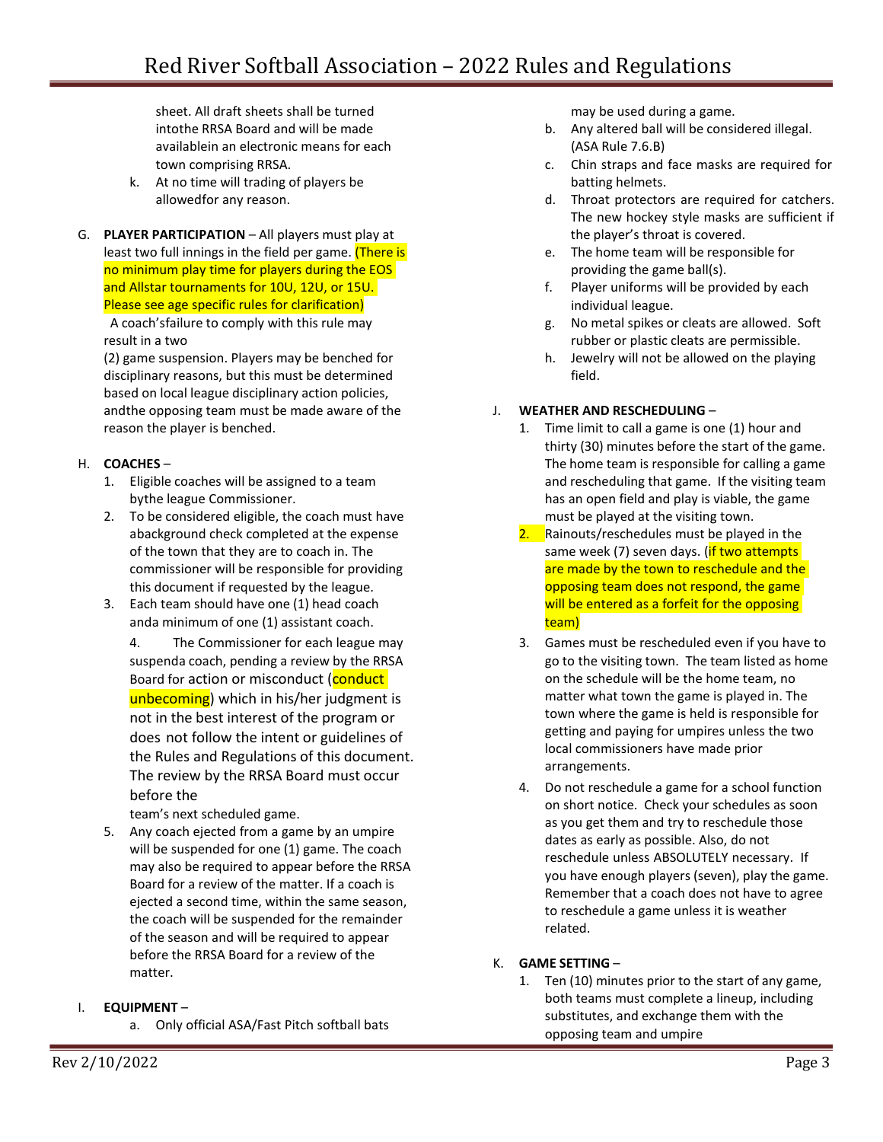sheet. All draft sheets shall be turned intothe RRSA Board and will be made availablein an electronic means for each town comprising RRSA.

- k. At no time will trading of players be allowedfor any reason.
- G. **PLAYER PARTICIPATION**  All players must play at least two full innings in the field per game. (There is no minimum play time for players during the EOS and Allstar tournaments for 10U, 12U, or 15U. Please see age specific rules for clarification)

A coach'sfailure to comply with this rule may result in a two

(2) game suspension. Players may be benched for disciplinary reasons, but this must be determined based on local league disciplinary action policies, andthe opposing team must be made aware of the reason the player is benched.

# H. **COACHES** –

- 1. Eligible coaches will be assigned to a team bythe league Commissioner.
- 2. To be considered eligible, the coach must have abackground check completed at the expense of the town that they are to coach in. The commissioner will be responsible for providing this document if requested by the league.
- 3. Each team should have one (1) head coach anda minimum of one (1) assistant coach.
	- 4. The Commissioner for each league may suspenda coach, pending a review by the RRSA Board for action or misconduct (conduct unbecoming) which in his/her judgment is not in the best interest of the program or does not follow the intent or guidelines of the Rules and Regulations of this document. The review by the RRSA Board must occur before the

team's next scheduled game.

5. Any coach ejected from a game by an umpire will be suspended for one (1) game. The coach may also be required to appear before the RRSA Board for a review of the matter. If a coach is ejected a second time, within the same season, the coach will be suspended for the remainder of the season and will be required to appear before the RRSA Board for a review of the matter.

# I. **EQUIPMENT** –

a. Only official ASA/Fast Pitch softball bats

may be used during a game.

- b. Any altered ball will be considered illegal. (ASA Rule 7.6.B)
- c. Chin straps and face masks are required for batting helmets.
- d. Throat protectors are required for catchers. The new hockey style masks are sufficient if the player's throat is covered.
- e. The home team will be responsible for providing the game ball(s).
- f. Player uniforms will be provided by each individual league.
- g. No metal spikes or cleats are allowed. Soft rubber or plastic cleats are permissible.
- h. Jewelry will not be allowed on the playing field.

## J. **WEATHER AND RESCHEDULING** –

- 1. Time limit to call a game is one (1) hour and thirty (30) minutes before the start of the game. The home team is responsible for calling a game and rescheduling that game. If the visiting team has an open field and play is viable, the game must be played at the visiting town.
- 2. Rainouts/reschedules must be played in the same week (7) seven days. (**if two attempts** are made by the town to reschedule and the opposing team does not respond, the game will be entered as a forfeit for the opposing team)
- 3. Games must be rescheduled even if you have to go to the visiting town. The team listed as home on the schedule will be the home team, no matter what town the game is played in. The town where the game is held is responsible for getting and paying for umpires unless the two local commissioners have made prior arrangements.
- 4. Do not reschedule a game for a school function on short notice. Check your schedules as soon as you get them and try to reschedule those dates as early as possible. Also, do not reschedule unless ABSOLUTELY necessary. If you have enough players (seven), play the game. Remember that a coach does not have to agree to reschedule a game unless it is weather related.

# K. **GAME SETTING** –

1. Ten (10) minutes prior to the start of any game, both teams must complete a lineup, including substitutes, and exchange them with the opposing team and umpire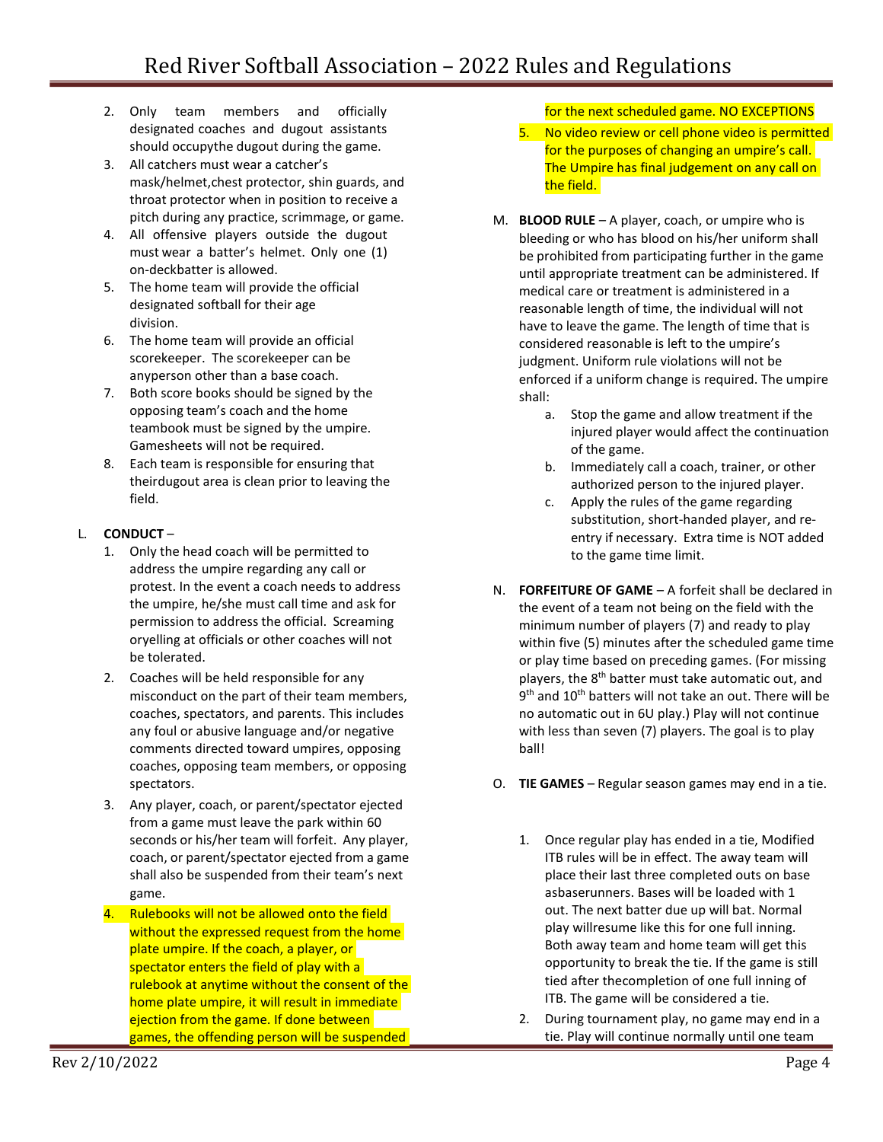- 2. Only team members and officially designated coaches and dugout assistants should occupythe dugout during the game.
- 3. All catchers must wear a catcher's mask/helmet,chest protector, shin guards, and throat protector when in position to receive a pitch during any practice, scrimmage, or game.
- 4. All offensive players outside the dugout must wear a batter's helmet. Only one (1) on-deckbatter is allowed.
- 5. The home team will provide the official designated softball for their age division.
- 6. The home team will provide an official scorekeeper. The scorekeeper can be anyperson other than a base coach.
- 7. Both score books should be signed by the opposing team's coach and the home teambook must be signed by the umpire. Gamesheets will not be required.
- 8. Each team is responsible for ensuring that theirdugout area is clean prior to leaving the field.

# L. **CONDUCT** –

- 1. Only the head coach will be permitted to address the umpire regarding any call or protest. In the event a coach needs to address the umpire, he/she must call time and ask for permission to address the official. Screaming oryelling at officials or other coaches will not be tolerated.
- 2. Coaches will be held responsible for any misconduct on the part of their team members, coaches, spectators, and parents. This includes any foul or abusive language and/or negative comments directed toward umpires, opposing coaches, opposing team members, or opposing spectators.
- 3. Any player, coach, or parent/spectator ejected from a game must leave the park within 60 seconds or his/her team will forfeit. Any player, coach, or parent/spectator ejected from a game shall also be suspended from their team's next game.
- 4. Rulebooks will not be allowed onto the field without the expressed request from the home plate umpire. If the coach, a player, or spectator enters the field of play with a rulebook at anytime without the consent of the home plate umpire, it will result in immediate ejection from the game. If done between games, the offending person will be suspended

for the next scheduled game. NO EXCEPTIONS

- 5. No video review or cell phone video is permitted for the purposes of changing an umpire's call. The Umpire has final judgement on any call on the field.
- M. **BLOOD RULE**  A player, coach, or umpire who is bleeding or who has blood on his/her uniform shall be prohibited from participating further in the game until appropriate treatment can be administered. If medical care or treatment is administered in a reasonable length of time, the individual will not have to leave the game. The length of time that is considered reasonable is left to the umpire's judgment. Uniform rule violations will not be enforced if a uniform change is required. The umpire shall:
	- a. Stop the game and allow treatment if the injured player would affect the continuation of the game.
	- b. Immediately call a coach, trainer, or other authorized person to the injured player.
	- c. Apply the rules of the game regarding substitution, short-handed player, and reentry if necessary. Extra time is NOT added to the game time limit.
- N. **FORFEITURE OF GAME** A forfeit shall be declared in the event of a team not being on the field with the minimum number of players (7) and ready to play within five (5) minutes after the scheduled game time or play time based on preceding games. (For missing players, the 8<sup>th</sup> batter must take automatic out, and 9<sup>th</sup> and 10<sup>th</sup> batters will not take an out. There will be no automatic out in 6U play.) Play will not continue with less than seven (7) players. The goal is to play ball!
- O. **TIE GAMES**  Regular season games may end in a tie.
	- 1. Once regular play has ended in a tie, Modified ITB rules will be in effect. The away team will place their last three completed outs on base asbaserunners. Bases will be loaded with 1 out. The next batter due up will bat. Normal play willresume like this for one full inning. Both away team and home team will get this opportunity to break the tie. If the game is still tied after thecompletion of one full inning of ITB. The game will be considered a tie.
	- 2. During tournament play, no game may end in a tie. Play will continue normally until one team